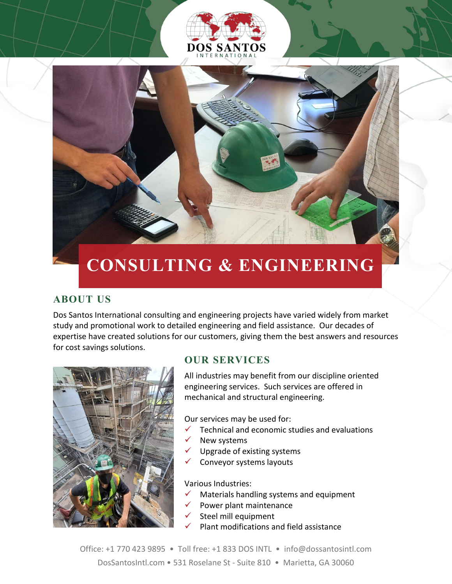# DOS SANTO



### **CONSULTING & ENGINEERING**

#### **ABOUT US**

Dos Santos International consulting and engineering projects have varied widely from market study and promotional work to detailed engineering and field assistance. Our decades of expertise have created solutions for our customers, giving them the best answers and resources for cost savings solutions.



#### **OUR SERVICES**

All industries may benefit from our discipline oriented engineering services. Such services are offered in mechanical and structural engineering.

Our services may be used for:

- $\checkmark$  Technical and economic studies and evaluations
- New systems
- Upgrade of existing systems
- Conveyor systems layouts

Various Industries:

- Materials handling systems and equipment
- Power plant maintenance
- Steel mill equipment
- Plant modifications and field assistance

Office: +1 770 423 9895 • Toll free: +1 833 DOS INTL • info@dossantosintl.com DosSantosIntl.com • 531 Roselane St - Suite 810 • Marietta, GA 30060